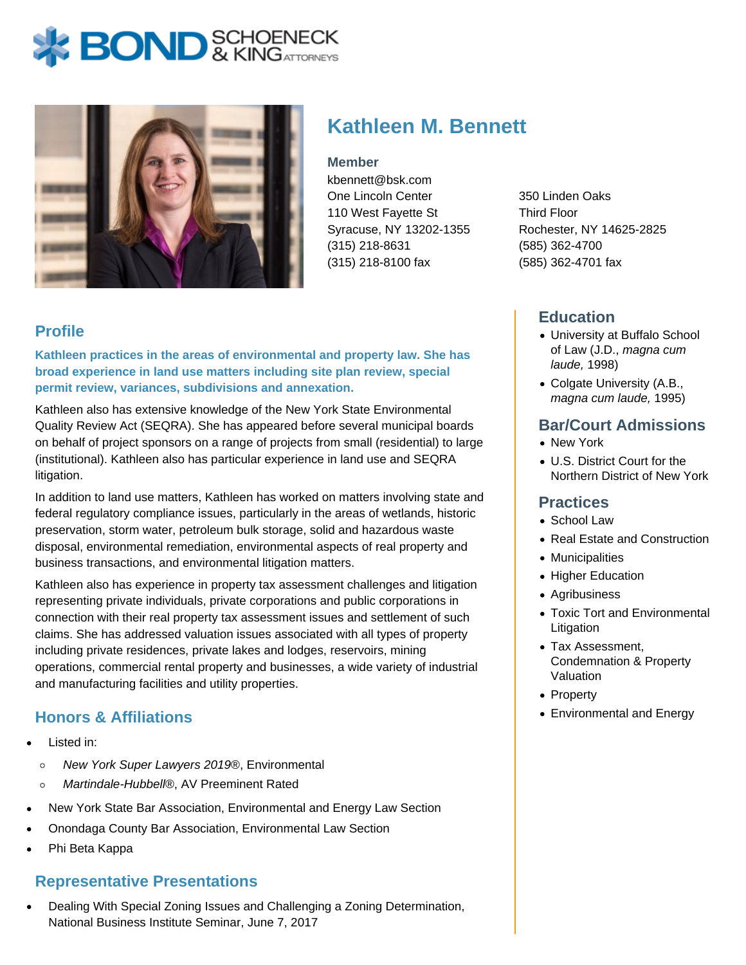# **BOND** & KINGATTORNECK



# **Kathleen M. Bennett**

#### **Member**

kbennett@bsk.com One Lincoln Center 110 West Fayette St Syracuse, NY 13202-1355 (315) 218-8631 (315) 218-8100 fax

350 Linden Oaks Third Floor Rochester, NY 14625-2825 (585) 362-4700 (585) 362-4701 fax

# **Education**

- University at Buffalo School of Law (J.D., magna cum laude, 1998)
- Colgate University (A.B., magna cum laude, 1995)

### **Bar/Court Admissions**

- New York
- U.S. District Court for the Northern District of New York

#### **Practices**

- School Law
- Real Estate and Construction
- Municipalities
- Higher Education
- Agribusiness
- Toxic Tort and Environmental Litigation
- Tax Assessment, Condemnation & Property Valuation
- Property
- Environmental and Energy

# **Profile**

**Kathleen practices in the areas of environmental and property law. She has broad experience in land use matters including site plan review, special permit review, variances, subdivisions and annexation.**

Kathleen also has extensive knowledge of the New York State Environmental Quality Review Act (SEQRA). She has appeared before several municipal boards on behalf of project sponsors on a range of projects from small (residential) to large (institutional). Kathleen also has particular experience in land use and SEQRA litigation.

In addition to land use matters, Kathleen has worked on matters involving state and federal regulatory compliance issues, particularly in the areas of wetlands, historic preservation, storm water, petroleum bulk storage, solid and hazardous waste disposal, environmental remediation, environmental aspects of real property and business transactions, and environmental litigation matters.

Kathleen also has experience in property tax assessment challenges and litigation representing private individuals, private corporations and public corporations in connection with their real property tax assessment issues and settlement of such claims. She has addressed valuation issues associated with all types of property including private residences, private lakes and lodges, reservoirs, mining operations, commercial rental property and businesses, a wide variety of industrial and manufacturing facilities and utility properties.

# **Honors & Affiliations**

- Listed in:
	- New York Super Lawyers 2019®, Environmental  $\circ$
	- Martindale-Hubbell®, AV Preeminent Rated  $\circ$
- New York State Bar Association, Environmental and Energy Law Section
- Onondaga County Bar Association, Environmental Law Section
- Phi Beta Kappa

# **Representative Presentations**

Dealing With Special Zoning Issues and Challenging a Zoning Determination, National Business Institute Seminar, June 7, 2017